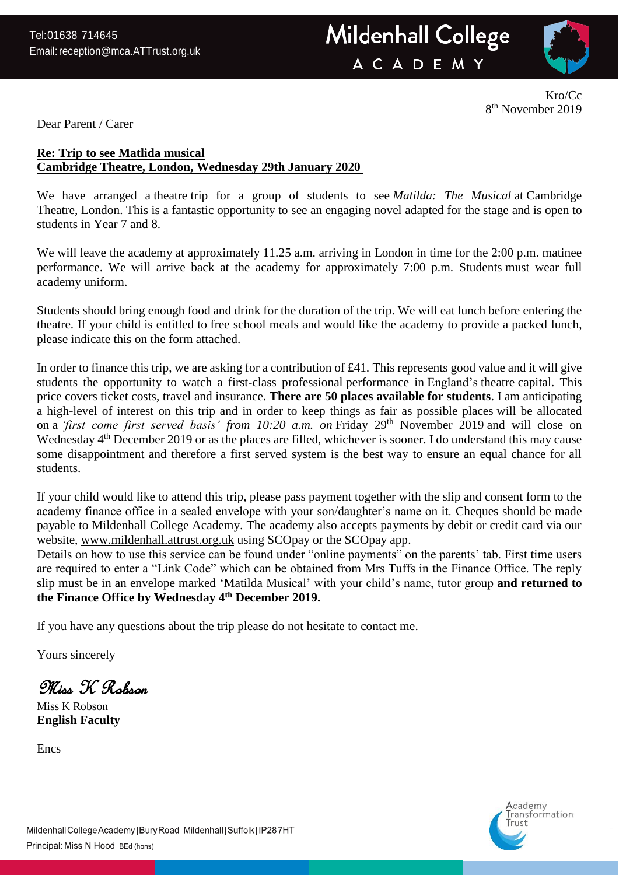

Kro/Cc 8 th November 2019

Dear Parent / Carer

# **Re: Trip to see Matlida musical Cambridge Theatre, London, Wednesday 29th January 2020**

We have arranged a theatre trip for a group of students to see *Matilda: The Musical* at Cambridge Theatre, London. This is a fantastic opportunity to see an engaging novel adapted for the stage and is open to students in Year 7 and 8.

We will leave the academy at approximately 11.25 a.m. arriving in London in time for the 2:00 p.m. matinee performance. We will arrive back at the academy for approximately 7:00 p.m. Students must wear full academy uniform.

Students should bring enough food and drink for the duration of the trip. We will eat lunch before entering the theatre. If your child is entitled to free school meals and would like the academy to provide a packed lunch, please indicate this on the form attached.

In order to finance this trip, we are asking for a contribution of £41. This represents good value and it will give students the opportunity to watch a first-class professional performance in England's theatre capital. This price covers ticket costs, travel and insurance. **There are 50 places available for students**. I am anticipating a high-level of interest on this trip and in order to keep things as fair as possible places will be allocated on a *'first come first served basis' from 10:20 a.m. on* Friday 29th November 2019 and will close on Wednesday 4<sup>th</sup> December 2019 or as the places are filled, whichever is sooner. I do understand this may cause some disappointment and therefore a first served system is the best way to ensure an equal chance for all students.

If your child would like to attend this trip, please pass payment together with the slip and consent form to the academy finance office in a sealed envelope with your son/daughter's name on it. Cheques should be made payable to Mildenhall College Academy. The academy also accepts payments by debit or credit card via our website, [www.mildenhall.attrust.org.uk](http://www.mildenhall.attrust.org.uk/) using SCOpay or the SCOpay app.

Details on how to use this service can be found under "online payments" on the parents' tab. First time users are required to enter a "Link Code" which can be obtained from Mrs Tuffs in the Finance Office. The reply slip must be in an envelope marked 'Matilda Musical' with your child's name, tutor group **and returned to the Finance Office by Wednesday 4th December 2019.**

If you have any questions about the trip please do not hesitate to contact me.

Yours sincerely

Miss K Robson

Miss K Robson **English Faculty**

**Encs** 

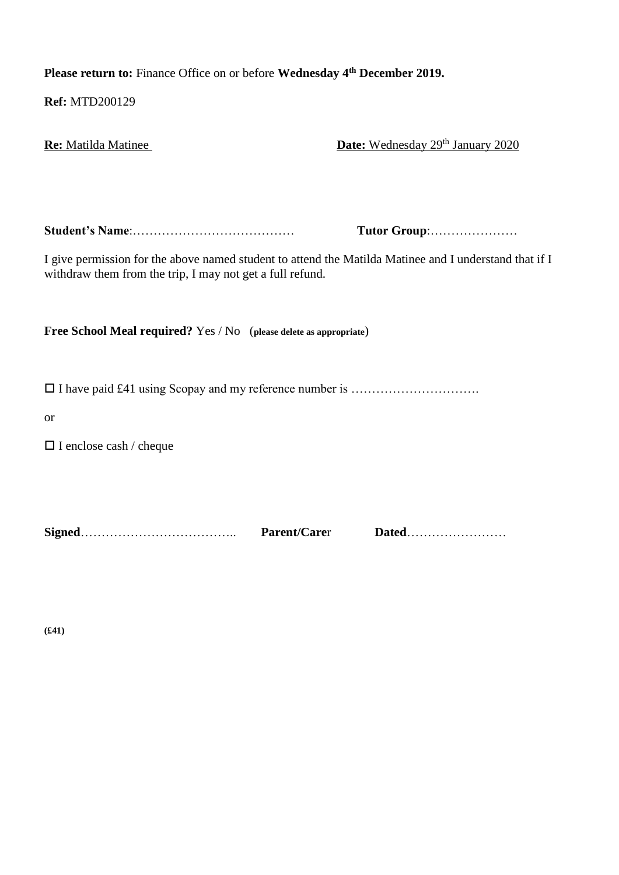**Please return to:** Finance Office on or before **Wednesday 4th December 2019.**

**Ref:** MTD200129

| Re: Matilda Matinee                                                                                                                                                 | Date: Wednesday 29 <sup>th</sup> January 2020 |
|---------------------------------------------------------------------------------------------------------------------------------------------------------------------|-----------------------------------------------|
|                                                                                                                                                                     |                                               |
|                                                                                                                                                                     | Tutor Group:                                  |
| I give permission for the above named student to attend the Matilda Matinee and I understand that if I<br>withdraw them from the trip, I may not get a full refund. |                                               |
|                                                                                                                                                                     |                                               |
| <b>Free School Meal required?</b> Yes / No (please delete as appropriate)                                                                                           |                                               |
|                                                                                                                                                                     |                                               |
| <b>or</b>                                                                                                                                                           |                                               |
| $\Box$ I enclose cash / cheque                                                                                                                                      |                                               |
|                                                                                                                                                                     |                                               |
| Parent/Carer                                                                                                                                                        | Dated                                         |

**(£41)**